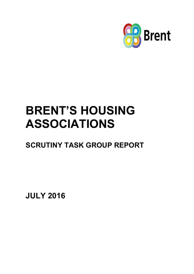

# **BRENT'S HOUSING ASSOCIATIONS**

**SCRUTINY TASK GROUP REPORT**

**JULY 2016**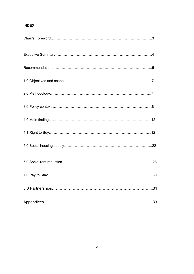# **INDEX**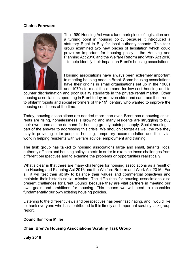## **Chair's Foreword**



The 1980 Housing Act was a landmark piece of legislation and a turning point in housing policy because it introduced a statutory Right to Buy for local authority tenants. This task group examined two new pieces of legislation which could prove as important for housing policy – the Housing and Planning Act 2016 and the Welfare Reform and Work Act 2016 – to help identify their impact on Brent's housing associations.

Housing associations have always been extremely important to meeting housing need in Brent. Some housing associations have their origins in small organisations set up in the 1960s and 1970s to meet the demand for low-cost housing and to

counter discrimination and poor quality standards in the private rental market. Other housing associations operating in Brent today are even older and can trace their roots to philanthropists and social reformers of the 19<sup>th</sup> century who wanted to improve the housing conditions of the time.

Today, housing associations are needed more than ever. Brent has a housing crisis: rents are rising, homelessness is growing and many residents are struggling to buy their own home as the demand for housing greatly outstrips supply. Social housing is part of the answer to addressing this crisis. We shouldn't forget as well the role they play in providing older people's housing, temporary accommodation and their vital work in helping residents with welfare advice, employment and training.

The task group has talked to housing associations large and small, tenants, local authority officers and housing policy experts in order to examine these challenges from different perspectives and to examine the problems or opportunities realistically.

What's clear is that there are many challenges for housing associations as a result of the Housing and Planning Act 2016 and the Welfare Reform and Work Act 2016. For all, it will test their ability to balance their values and commercial objectives and maintain their historic social mission. The difficulties for housing associations also present challenges for Brent Council because they are vital partners in meeting our own goals and ambitions for housing. This means we will need to reconsider fundamentally our own existing housing policies.

Listening to the different views and perspectives has been fascinating, and I would like to thank everyone who has contributed to this timely and important scrutiny task group report.

## **Councillor Tom Miller**

# **Chair, Brent's Housing Associations Scrutiny Task Group**

**July 2016**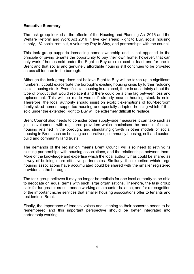# **Executive Summary**

The task group looked at the effects of the Housing and Planning Act 2016 and the Welfare Reform and Work Act 2016 in five key areas: Right to Buy, social housing supply, 1% social rent cut, a voluntary Pay to Stay, and partnerships with the council.

This task group supports increasing home ownership and is not opposed to the principle of giving tenants the opportunity to buy their own home; however, that can only work if homes sold under the Right to Buy are replaced at least one-for-one in Brent and that social and genuinely affordable housing still continues to be provided across all tenures in the borough.

Although the task group does not believe Right to Buy will be taken up in significant numbers, it could exacerbate the borough's existing housing crisis by further reducing social housing stock. Even if social housing is replaced, there is uncertainty about the type of product that would replace it and there could be a time lag between loss and replacement. This will be made worse if already scarce housing stock is sold. Therefore, the local authority should insist on explicit exemptions of four-bedroom family-sized homes, supported housing and specially adapted housing which if it is sold under the extended Right to Buy will be extremely difficult to replace.

Brent Council also needs to consider other supply-side measures it can take such as joint development with registered providers which maximises the amount of social housing retained in the borough, and stimulating growth in other models of social housing in Brent such as housing co-operatives, community housing, self and custom build and community land trusts.

The demands of the legislation means Brent Council will also need to rethink its existing partnerships with housing associations, and the relationships between them. More of the knowledge and expertise which the local authority has could be shared as a way of building more effective partnerships. Similarly, the expertise which large housing associations have accumulated could be shared with the smaller registered providers in the borough.

The task group believes it may no longer be realistic for one local authority to be able to negotiate on equal terms with such large organisations. Therefore, the task group calls for far greater cross-London working as a counter-balance, and for a recognition of the important niche services that smaller housing associations offer to tenants and residents in Brent.

Finally, the importance of tenants' voices and listening to their concerns needs to be remembered and this important perspective should be better integrated into partnership working.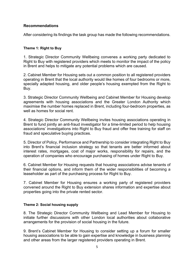# **Recommendations**

After considering its findings the task group has made the following recommendations.

#### **Theme 1: Right to Buy**

1. Strategic Director Community Wellbeing convenes a working party dedicated to Right to Buy with registered providers which meets to monitor the impact of the policy in Brent and helps to mitigate any potential problems which are caused.

2. Cabinet Member for Housing sets out a common position to all registered providers operating in Brent that the local authority would like homes of four bedrooms or more, specially adapted housing, and older people's housing exempted from the Right to Buy.

3. Strategic Director Community Wellbeing and Cabinet Member for Housing develop agreements with housing associations and the Greater London Authority which maximise the number homes replaced in Brent, including four-bedroom properties, as well as homes for social rent.

4. Strategic Director Community Wellbeing invites housing associations operating in Brent to fund jointly an anti-fraud investigator for a time-limited period to help housing associations' investigations into Right to Buy fraud and offer free training for staff on fraud and speculative buying practices.

5. Director of Policy, Performance and Partnership to consider integrating Right to Buy into Brent's financial inclusion strategy so that tenants are better informed about interest rates, mortgages, cost of major works, responsibility for repairs, and the operation of companies who encourage purchasing of homes under Right to Buy.

6. Cabinet Member for Housing requests that housing associations advise tenants of their financial options, and inform them of the wider responsibilities of becoming a leaseholder as part of the purchasing process for Right to Buy.

7. Cabinet Member for Housing ensures a working party of registered providers convened around the Right to Buy extension shares information and expertise about properties going into the private rented sector.

#### **Theme 2: Social housing supply**

8. The Strategic Director Community Wellbeing and Lead Member for Housing to initiate further discussions with other London local authorities about collaborative arrangements for the provision of social housing in the future.

9. Brent's Cabinet Member for Housing to consider setting up a forum for smaller housing associations to be able to gain expertise and knowledge in business planning and other areas from the larger registered providers operating in Brent.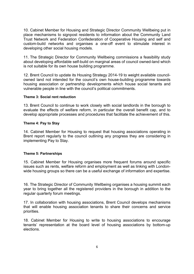10. Cabinet Member for Housing and Strategic Director Community Wellbeing put in place mechanisms to signpost residents to information about the Community Land Trust Network and Federation Confederation of Cooperative Housing and self and custom-build networks and organises a one-off event to stimulate interest in developing other social housing models.

11. The Strategic Director for Community Wellbeing commissions a feasibility study about developing affordable self-build on marginal areas of council owned-land which is not suitable for its own house building programme.

12. Brent Council to update its Housing Strategy 2014-19 to weight available councilowned land not intended for the council's own house-building programme towards housing association or partnership developments which house social tenants and vulnerable people in line with the council's political commitments.

#### **Theme 3: Social rent reduction**

13. Brent Council to continue to work closely with social landlords in the borough to evaluate the effects of welfare reform, in particular the overall benefit cap, and to develop appropriate processes and procedures that facilitate the achievement of this.

#### **Theme 4: Pay to Stay**

14. Cabinet Member for Housing to request that housing associations operating in Brent report regularly to the council outlining any progress they are considering in implementing Pay to Stay.

#### **Theme 5: Partnerships**

15. Cabinet Member for Housing organises more frequent forums around specific issues such as rents, welfare reform and employment as well as linking with Londonwide housing groups so there can be a useful exchange of information and expertise.

16. The Strategic Director of Community Wellbeing organises a housing summit each year to bring together all the registered providers in the borough in addition to the regular quarterly forum meetings.

17. In collaboration with housing associations, Brent Council develops mechanisms that will enable housing association tenants to share their concerns and service priorities.

18. Cabinet Member for Housing to write to housing associations to encourage tenants' representation at the board level of housing associations by bottom-up elections.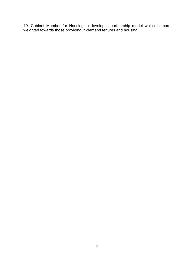19. Cabinet Member for Housing to develop a partnership model which is more weighted towards those providing in-demand tenures and housing.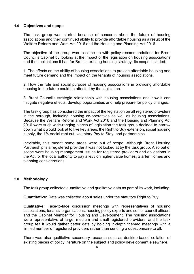## **1.0 Objectives and scope**

The task group was started because of concerns about the future of housing associations and their continued ability to provide affordable housing as a result of the Welfare Reform and Work Act 2016 and the Housing and Planning Act 2016.

The objective of the group was to come up with policy recommendations for Brent Council's Cabinet by looking at the impact of the legislation on housing associations and the implications it had for Brent's existing housing strategy. Its scope included:

1. The effects on the ability of housing associations to provide affordable housing and meet future demand and the impact on the tenants of housing associations.

2. How the role and social purpose of housing associations in providing affordable housing in the future could be affected by the legislation.

3. Brent Council's strategic relationship with housing associations and how it can mitigate negative effects, develop opportunities and help prepare for policy changes.

The task group has considered the impact of the legislation on all registered providers in the borough, including housing co-operatives as well as housing associations. Because the Welfare Reform and Work Act 2016 and the Housing and Planning Act 2016 were such wide-ranging pieces of legislation the task group decided to narrow down what it would look at to five key areas: the Right to Buy extension, social housing supply, the 1% social rent cut, voluntary Pay to Stay, and partnerships.

Inevitably, this meant some areas were out of scope. Although Brent Housing Partnership is a registered provider it was not looked at by the task group. Also out of scope were housing management issues for registered providers and obligations in the Act for the local authority to pay a levy on higher value homes, Starter Homes and planning considerations.

# **2.0 Methodology**

The task group collected quantitative and qualitative data as part of its work, including:

**Quantitative:** Data was collected about sales under the statutory Right to Buy.

**Qualitative:** Face-to-face discussion meetings with representatives of housing associations, tenants' organisations, housing policy experts and senior council officers and the Cabinet Member for Housing and Development. The housing associations were representative of large, medium and small registered providers, and the task group felt it would gather better data by holding in-depth themed meetings with a limited number of registered providers rather than sending a questionnaire to all.

There was also qualitative secondary research such as desktop-based collation of existing pieces of policy literature on the subject and policy development elsewhere.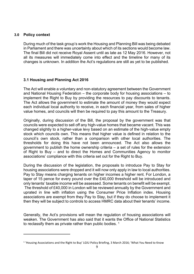# **3.0 Policy context**

During much of the task group's work the Housing and Planning Bill was being debated in Parliament and there was uncertainty about which of its sections would become law. The final Bill did not receive Royal Assent until as late as 12 May 2016. However, not all its measures will immediately come into effect and the timeline for many of its changes is unknown. In addition the Act's regulations are still as yet to be published.

# **3.1 Housing and Planning Act 2016**

The Act will enable a voluntary and non-statutory agreement between the Government and National Housing Federation – the corporate body for housing associations – to implement the Right to Buy by providing the resources to pay discounts to tenants. The Act allows the government to estimate the amount of money they would expect each individual local authority to receive, in each financial year, from sales of higher value homes, and councils will then be required to pay this amount to the Treasury.

Originally, during discussion of the Bill, the proposal by the government was that councils were expected to sell off any high-value homes that became vacant. This was changed slightly to a higher-value levy based on an estimate of the high-value empty stock which councils own. This means that higher value is defined in relation to the council's own stock, rather than a comparison with other local authorities. The thresholds for doing this have not been announced. The Act also allows the government to publish the home ownership criteria – a set of rules for the extension of Right to Buy – and to direct the Homes and Communities Agency to monitor associations' compliance with this criteria set out for the Right to Buy.

During the discussion of the legislation, the proposals to introduce Pay to Stay for housing associations were dropped and it will now only apply in law to local authorities. Pay to Stay means charging tenants on higher incomes a higher rent. For London, a taper of 15 pence for every pound over the £40,000 threshold will be introduced and only tenants' taxable income will be assessed. Some tenants on benefit will be exempt. The threshold of £40,000 in London will be reviewed annually by the Government and uprated in line with inflation using the Consumer Price Inflation index. Housing associations are exempt from they Pay to Stay, but if they do choose to implement it then they will be subject to controls to access HMRC data about their tenants' income.

Generally, the Act's provisions will mean the regulation of housing associations will weaken. The Government has also said that it wants the Office of National Statistics to reclassify them as private rather than public bodies.  $1$ 

<sup>&</sup>lt;sup>1</sup> 'Housing Associations and the Right to Buy' LGIU Policy Briefing, 3 March 2016; 'What You Need to Know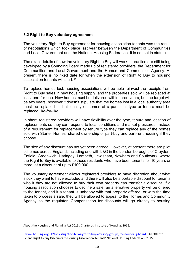#### **3.2 Right to Buy voluntary agreement**

The voluntary Right to Buy agreement for housing association tenants was the result of negotiations which took place last year between the Department of Communities and Local Government and the National Housing Federation. It is not set in statute.

The exact details of how the voluntary Right to Buy will work in practice are still being developed by a Sounding Board made up of registered providers, the Department for Communities and Local Government and the Homes and Communities Agency. At present there is no fixed date for when the extension of Right to Buy to housing association tenants will start. <sup>2</sup>

To replace homes lost, housing associations will be able reinvest the receipts from Right to Buy sales in new housing supply, and the properties sold will be replaced at least one-for-one. New homes must be delivered within three years, but the target will be two years, however it doesn't stipulate that the homes lost in a local authority area must be replaced in that locality or homes of a particular type or tenure must be replaced like-for-like.

In short, registered providers will have flexibility over the type, tenure and location of replacements so they can respond to local conditions and market pressures. Instead of a requirement for replacement by tenure type they can replace any of the homes sold with Starter Homes, shared ownership or part-buy and part-rent housing if they choose.

The size of any discount has not yet been agreed. However, at present there are pilot schemes across England, including one with L&Q in the London boroughs of Croydon, Enfield, Greenwich, Haringey, Lambeth, Lewisham, Newham and Southwark, where the Right to Buy is available to those residents who have been tenants for 10 years or more, at a discount of up to £100,000.

The voluntary agreement allows registered providers to have discretion about what stock they want to have excluded and there will also be a portable discount for tenants who if they are not allowed to buy their own property can transfer a discount. If a housing association chooses to decline a sale, an alternative property will be offered to the tenant, and if a tenant is unhappy with that property offered, or with the time taken to process a sale, they will be allowed to appeal to the Homes and Community Agency as the regulator. Compensation for discounts will go directly to housing

About the Housing and Planning Act 2016', Chartered Institute of Housing, 2016.

<sup>2</sup> [www.housing.org.uk/topics/right-to-buy/right-to-buy-advisory-groups/the-sounding-board;](http://www.housing.org.uk/topics/right-to-buy/right-to-buy-advisory-groups/the-sounding-board) 'An Offer to Extend Right to Buy Discounts to Housing Association Tenants' National Housing Federation, 2015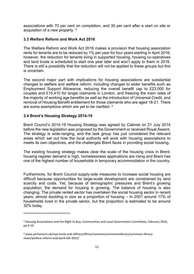associations with 70 per cent on completion, and 30 per cent after a start on site or acquisition of a new property. <sup>3</sup>

# **3.3 Welfare Reform and Work Act 2016**

The Welfare Reform and Work Act 2016 makes a provision that housing association rents for tenants are to be reduced by 1% per year for four years starting in April 2016; however, the reduction for tenants living in supported housing, housing co-operatives and land trusts is scheduled to start one year later and won't apply to them in 2016. There is still a possibility that the reduction will not be applied to these groups but this is uncertain.

The second major part with implications for housing associations are substantial changes to welfare and welfare reform, including changes to wider benefits such as Employment Support Allowance, reducing the overall benefit cap to £23,000 for couples and £15,410 for single claimants in London, and freezing the main rates of the majority of working age benefits as well as the introduction of Universal Credit, and removal of Housing Benefit entitlement for those claimants who are aged 18-21. There are some exemptions which are yet to be clarified. <sup>4</sup>

# **3.4 Brent's Housing Strategy 2014-19**

Brent Council's 2014-19 Housing Strategy was agreed by Cabinet on 21 July 2014 before the new legislation was proposed by the Government or received Royal Assent. The strategy is wide-ranging, and the task group has just considered the relevant areas which set out how the local authority will work with housing associations to meets its own objectives, and the challenges Brent faces in providing social housing.

The existing housing strategy makes clear the scale of the housing crisis in Brent: housing register demand is high, homelessness applications are rising and Brent has one of the highest number of households in temporary accommodation in the country.

Furthermore, for Brent Council supply-side measures to increase social housing are difficult because opportunities for large-scale development are constrained by land scarcity and costs. Yet, because of demographic pressures and Brent's growing population, the demand for housing is growing. The balance of housing is also changing. The private rented sector has overtaken the social housing sector in recent years, almost doubling in size as a proportion of housing – In 2001 around 17% of households lived in the private sector, but the proportion is estimated to be around 32% today.

<sup>&</sup>lt;sup>3</sup> Housing Associations and the Right to Buy, Communities and Local Government Committee, February 2016, pp.9-10

<sup>4</sup> www.parliament.uk/mps-lords-and-offices/offices/commons/commonslibrary/commons-librarynews/welfare-reform-and-work-bill-2015/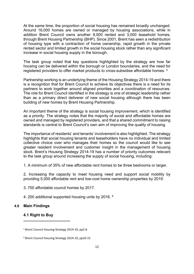At the same time, the proportion of social housing has remained broadly unchanged. Around 16,000 homes are owned or managed by housing associations, while in addition Brent Council owns another 9,000 rented and 3,000 leasehold homes, through Brent Housing Partnership (BHP). Since 2001, Brent has seen a redistribution of housing type with a contraction of home ownership, rapid growth in the private rented sector and limited growth in the social housing stock rather than any significant increase in social housing supply in the borough.

The task group noted that key questions highlighted by the strategy are how far housing can be delivered within the borough or London boundaries, and the need for registered providers to offer market products to cross-subsidise affordable homes. <sup>5</sup>

Partnership working is an underlying theme of the Housing Strategy 2014-19 and there is a recognition that for Brent Council to achieve its objectives there is a need for its partners to work together around aligned priorities and a coordination of resources. The role for Brent Council identified in the strategy is one of strategic leadership rather than as a primary direct deliverer of new social housing although there has been building of new homes by Brent Housing Partnership.

An important theme of the strategy is social housing improvement, which is identified as a priority. The strategy notes that the majority of social and affordable homes are owned and managed by registered providers, and that a shared commitment to raising standards is central to Brent Council's own aim of improving the quality of housing.

The importance of residents' and tenants' involvement is also highlighted. The strategy highlights that social housing tenants and leaseholders have no individual and limited collective choice over who manages their homes so the council would like to see greater resident involvement and customer insight in the management of housing stock. Brent's Housing Strategy 2014-19 has a number of priority outcomes relevant to the task group around increasing the supply of social housing, including:

1. A minimum of 35% of new affordable rent homes to be three bedrooms or larger.

2. Increasing the capacity to meet housing need and support social mobility by providing 5,000 affordable rent and low-cost home ownership properties by 2019.

3. 700 affordable council homes by 2017.

4. 200 additional supported housing units by 2016. <sup>6</sup>

#### **4.0 Main Findings**

#### **4.1 Right to Buy**

<sup>5</sup> Brent Council Housing Strategy 2014-19, pp2-6

<sup>6</sup> Brent Council Housing Strategy 2014-19, pp10-15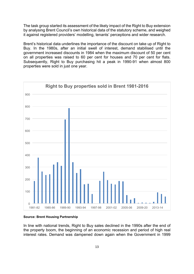The task group started its assessment of the likely impact of the Right to Buy extension by analysing Brent Council's own historical data of the statutory scheme, and weighed it against registered providers' modelling, tenants' perceptions and wider research.

Brent's historical data underlines the importance of the discount on take up of Right to Buy. In the 1980s, after an initial swell of interest, demand stabilised until the government increased discounts in 1984 when the maximum discount of 50 per cent on all properties was raised to 60 per cent for houses and 70 per cent for flats. Subsequently, Right to Buy purchasing hit a peak in 1990-91 when almost 800 properties were sold in just one year.



#### **Source: Brent Housing Partnership**

In line with national trends, Right to Buy sales declined in the 1990s after the end of the property boom, the beginning of an economic recession and period of high real interest rates. Demand was dampened down again when the Government in 1999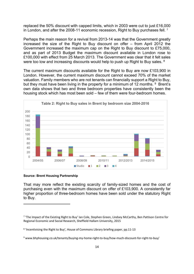replaced the 50% discount with capped limits, which in 2003 were cut to just £16,000 in London, and after the 2008-11 economic recession, Right to Buy purchases fell.<sup>7</sup>

Perhaps the main reason for a revival from 2013-14 was that the Government greatly increased the size of the Right to Buy discount on offer – from April 2012 the Government increased the maximum cap on the Right to Buy discount to £75,000, and as part of 2013 Budget the maximum discount available in London rose to £100,000 with effect from 25 March 2013. The Government was clear that it felt sales were too low and increasing discounts would help to push up Right to Buy sales. <sup>8</sup>

The current maximum discounts available for the Right to Buy are now £103,900 in London. However, the current maximum discount cannot exceed 70% of the market valuation. Family members who are not tenants can financially support a Right to Buy, but they must have been living in the property for a minimum of 12 months. <sup>9</sup> Brent's own data shows that two and three bedroom properties have consistently been the housing stock which has most been sold – few of them were four-bedroom homes.



#### **Source: Brent Housing Partnership**

That may more reflect the existing scarcity of family-sized homes and the cost of purchasing even with the maximum discount on offer of £103,900. A consistently far higher proportion of three-bedroom homes have been sold under the statutory Right to Buy.

<sup>&</sup>lt;sup>7</sup> 'The Impact of the Existing Right to Buy' Ian Cole, Stephen Green, Lindsey McCarthy, Ben Pattison Centre for Regional Economic and Social Research, Sheffield Hallam University, 2015

<sup>&</sup>lt;sup>8</sup> 'Incentivising the Right to Buy', House of Commons Library briefing paper, pp.11-13

<sup>9</sup> www.bhphousing.co.uk/tenants/buying-my-home-right-to-buy/how-much-discount-for-right-to-buy/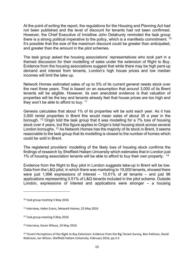At the point of writing the report, the regulations for the Housing and Planning Act had not been published and the level of discount for tenants had not been confirmed. However, the Chief Executive of Innisfree John Delahunty reminded the task group there is a strong political imperative to the policy, which is a manifesto commitment. <sup>10</sup> It's possible that the size of the maximum discount could be greater than anticipated, and greater than the amount in the pilot schemes.

The task group asked the housing associations' representatives who took part in a themed discussion for their modelling of sales under the extension of Right to Buy. Evidence from the housing associations suggest that while there may be high pent-up demand and interest from tenants, London's high house prices and low median incomes will limit the take up.

Network Homes estimated sales of up to 5% of its current general needs stock over the next three years. That is based on an assumption that around 3,000 of its Brent tenants will be eligible. However, its own anecdotal evidence is that valuation of properties will be the key and tenants already feel that house prices are too high and they won't be able to afford to buy. <sup>11</sup>

Genesis calculates that about 1% of its properties will be sold each year. As it has 3,500 rental properties in Brent this would mean sales of about 35 a year in the borough. <sup>12</sup> Origin told the task group that it was modelling for a 7% loss of housing stock over 4 years, but this figure applies to Origin's total housing stock across several London boroughs. <sup>13</sup> As Network Homes has the majority of its stock in Brent, it seems reasonable to the task group that its modelling is closest to the number of homes which could be sold in Brent.

The registered providers' modelling of the likely loss of housing stock confirms the findings of research by Sheffield Hallam University which estimates that in London just 1% of housing association tenants will be able to afford to buy their own property. <sup>14</sup>

Evidence from the Right to Buy pilot in London suggests take-up in Brent will be low. Data from the L&Q pilot, in which there was marketing to 19,000 tenants, showed there were just 1,996 expressions of interest – 10.51% of all tenants – and just 96 applications representing 0.51% of L&Q tenants included in the pilot scheme. Outside London, expressions of interest and applications were stronger – a housing

<sup>10</sup> Task group meeting 3 May 2016

<sup>11</sup> Interview, Helen Evans, Network Homes, 25 May 2016

<sup>12</sup> Task group meeting 3 May 2016

<sup>13</sup> Interview, Karen Wilson, 24 May 2016

<sup>&</sup>lt;sup>14</sup> Tenant Perceptions of the Right to Buy Extension: Evidence from the Big Tenant Survey, Ben Pattison, David Robinson, Ian Wilson. Sheffield Hallam University, February 2016, pp.3-5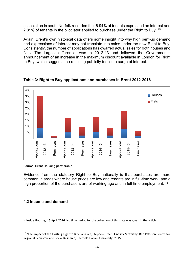association in south Norfolk recorded that 6.94% of tenants expressed an interest and 2.81% of tenants in the pilot later applied to purchase under the Right to Buy. <sup>15</sup>

Again, Brent's own historical data offers some insight into why high pent-up demand and expressions of interest may not translate into sales under the new Right to Buy. Consistently, the number of applications has dwarfed actual sales for both houses and flats. The largest differential was in 2012-13 and followed the Government's announcement of an increase in the maximum discount available in London for Right to Buy, which suggests the resulting publicity fuelled a surge of interest.



**Table 3: Right to Buy applications and purchases in Brent 2012-2016**

#### **Source: Brent Housing partnership**

Evidence from the statutory Right to Buy nationally is that purchases are more common in areas where house prices are low and tenants are in full-time work, and a high proportion of the purchasers are of working age and in full-time employment. <sup>16</sup>

#### **4.2 Income and demand**

<sup>&</sup>lt;sup>15</sup> Inside Housing, 15 April 2016. No time period for the collection of this data was given in the article.

<sup>&</sup>lt;sup>16</sup> 'The Impact of the Existing Right to Buy' Ian Cole, Stephen Green, Lindsey McCarthy, Ben Pattison Centre for Regional Economic and Social Research, Sheffield Hallam University, 2015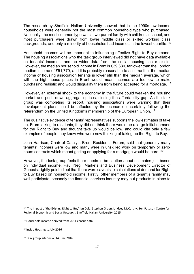The research by Sheffield Hallam University showed that in the 1990s low-income households were generally not the most common household type who purchased. Nationally, the most common type was a two-parent family with children at school, and most purchasers were drawn from lower middle class or skilled working class backgrounds, and only a minority of households had incomes in the lowest quartile. <sup>17</sup>

Household incomes will be important to influencing effective Right to Buy demand. The housing associations who the task group interviewed did not have data available on tenants' incomes, and no wider data from the social housing sector exists. However, the median household income in Brent is £39,630, far lower than the London median income of £51,770, and it is probably reasonable to assume that the median income of housing association tenants is lower still than the median average, which with the high house prices in Brent would mean incomes are too low to make purchasing realistic and would disqualify them from being accepted for a mortgage. <sup>18</sup>

However, an external shock to the economy in the future could weaken the housing market and push down aggregate prices, closing the affordability gap. As the task group was completing its report, housing associations were warning that their development plans could be affected by the economic uncertainty following the referendum on the United Kingdom's membership of the European Union. <sup>19</sup>

The qualitative evidence of tenants' representatives supports the low estimates of take up. From talking to residents, they did not think there would be a large initial demand for the Right to Buy and thought take up would be low, and could cite only a few examples of people they know who were now thinking of taking up the Right to Buy.

John Harrison, Chair of Catalyst Brent Residents' Forum, said that generally many tenants' incomes were low and many were in unskilled work on temporary or zerohours contracts which meant getting or applying for a mortgage would be hard. <sup>20</sup>

However, the task group feels there needs to be caution about estimates just based on individual income. Paul Negi, Markets and Business Development Director of Genesis, rightly pointed out that there were caveats to calculations of demand for Right to Buy based on household income. Firstly, other members of a tenant's family may well participate; secondly the financial services industry may put products in place to

<sup>17</sup> 'The Impact of the Existing Right to Buy' Ian Cole, Stephen Green, Lindsey McCarthy, Ben Pattison Centre for Regional Economic and Social Research, Sheffield Hallam University, 2015

<sup>&</sup>lt;sup>18</sup> Household income derived from 2011 census data

<sup>19</sup> Inside Housing, 1 July 2016

<sup>20</sup> Task group interview, 14 June 2016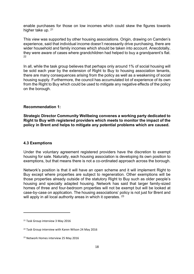enable purchases for those on low incomes which could skew the figures towards higher take up. 21

This view was supported by other housing associations. Origin, drawing on Camden's experience, said that individual income doesn't necessarily drive purchasing, there are wider household and family incomes which should be taken into account. Anecdotally, they were aware of cases where grandchildren had helped to buy a grandparent's flat.  $22$ 

In all, while the task group believes that perhaps only around 1% of social housing will be sold each year by the extension of Right to Buy to housing association tenants, there are many consequences arising from the policy as well as a weakening of social housing supply. Furthermore, the council has accumulated lot of experience of its own from the Right to Buy which could be used to mitigate any negative effects of the policy on the borough.

# **Recommendation 1:**

**Strategic Director Community Wellbeing convenes a working party dedicated to Right to Buy with registered providers which meets to monitor the impact of the policy in Brent and helps to mitigate any potential problems which are caused.**

#### **4.3 Exemptions**

Under the voluntary agreement registered providers have the discretion to exempt housing for sale. Naturally, each housing association is developing its own position to exemptions, but that means there is not a co-ordinated approach across the borough.

Network's position is that it will have an open scheme and it will implement Right to Buy except where properties are subject to regeneration. Other exemptions will be those properties already outside of the statutory Right to Buy such as older people's housing and specially adapted housing. Network has said that larger family-sized homes of three and four-bedroom properties will not be exempt but will be looked at case-by-case on application. The housing associations' policy is not just for Brent and will apply in all local authority areas in which it operates. <sup>23</sup>

<sup>&</sup>lt;sup>21</sup> Task Group interview 3 May 2016

<sup>22</sup> Task Group interview with Karen Wilson 24 May 2016

<sup>&</sup>lt;sup>23</sup> Network Homes interview 25 May 2016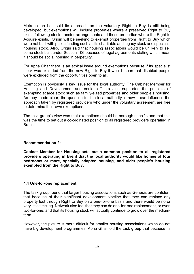Metropolitan has said its approach on the voluntary Right to Buy is still being developed, but exemptions will include properties where a preserved Right to Buy exists following stock transfer arrangements and those properties where the Right to Acquire exists. Origin will be seeking to exempt properties from Right to Buy which were not built with public funding such as its charitable and legacy stock and specialist housing stock. Also, Origin said that housing associations would be unlikely to sell some stock built under Section 106 because of legal agreements stating which mean it should be social housing in perpetuity.

For Apna Ghar there is an ethical issue around exemptions because if its specialist stock was excluded from the new Right to Buy it would mean that disabled people were excluded from the opportunities open to all.

Exemption is obviously a key issue for the local authority. The Cabinet Member for Housing and Development and senior officers also supported the principle of exempting scarce stock such as family-sized properties and older people's housing. As they made clear, the question for the local authority is how it can influence the approach taken by registered providers who under the voluntary agreement are free to determine their own exemptions.

The task group's view was that exemptions should be borough specific and that this was the time to set out a co-ordinated position to all registered providers operating in Brent.

#### **Recommendation 2:**

**Cabinet Member for Housing sets out a common position to all registered providers operating in Brent that the local authority would like homes of four bedrooms or more, specially adapted housing, and older people's housing exempted from the Right to Buy.**

#### **4.4 One-for-one replacement**

The task group found that larger housing associations such as Genesis are confident that because of their significant development pipeline that they can replace any property lost through Right to Buy on a one-for-one basis and there would be no or very little time lag. Network also feel that they can do one-for-one replacement, or even two-for-one, and that its housing stock will actually continue to grow over the mediumterm.

However, the picture is more difficult for smaller housing associations which do not have big development programmes. Apna Ghar told the task group that because its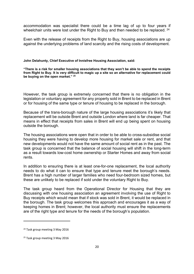accommodation was specialist there could be a time lag of up to four years if wheelchair units were lost under the Right to Buy and then needed to be replaced. <sup>24</sup>

Even with the release of receipts from the Right to Buy, housing associations are up against the underlying problems of land scarcity and the rising costs of development.

#### **John Delahunty, Chief Executive of Innisfree Housing Association, said:**

**"There is a risk for smaller housing associations that they won't be able to spend the receipts** from Right to Buy. It is very difficult to magic up a site so an alternative for replacement could **be buying on the open market." <sup>25</sup>**

However, the task group is extremely concerned that there is no obligation in the legislation or voluntary agreement for any property sold in Brent to be replaced in Brent or for housing of the same type or tenure of housing to be replaced in the borough.

Because of the trans-borough nature of the large housing associations it's likely that replacement will be outside Brent and outside London where land is far cheaper. That means in effect that receipts from sales in Brent will end up being spent on housing outside the borough.

The housing associations were open that in order to be able to cross-subsidise social housing they were having to develop more housing for market sale or rent, and that new developments would not have the same amount of social rent as in the past. The task group is concerned that the balance of social housing will shift in the long-term as a result towards low-cost home ownership or Starter Homes and away from social rents.

In addition to ensuring there is at least one-for-one replacement, the local authority needs to do what it can to ensure that type and tenure meet the borough's needs. Brent has a high number of larger families who need four-bedroom sized homes, but these are unlikely to be replaced if sold under the voluntary Right to Buy.

The task group heard from the Operational Director for Housing that they are discussing with one housing association an agreement involving the use of Right to Buy receipts which would mean that if stock was sold in Brent, it would be replaced in the borough. The task group welcomes this approach and encourages it as a way of keeping homes in Brent; however, the local authority must ensure the replacements are of the right type and tenure for the needs of the borough's population.

<sup>24</sup> Task group meeting 3 May 2016

<sup>&</sup>lt;sup>25</sup> Task group meeting 3 May 2016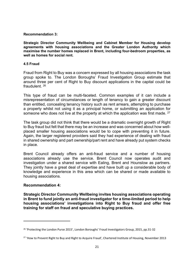**Recommendation 3:**

**Strategic Director Community Wellbeing and Cabinet Member for Housing develop agreements with housing associations and the Greater London Authority which maximise the number homes replaced in Brent, including four-bedroom properties, as well as homes for social rent.**

#### **4.5 Fraud**

Fraud from Right to Buy was a concern expressed by all housing associations the task group spoke to. The London Boroughs' Fraud Investigation Group estimate that around three per cent of Right to Buy discount applications in the capital could be fraudulent. <sup>26</sup>

This type of fraud can be multi-faceted. Common examples of it can include a misrepresentation of circumstances or length of tenancy to gain a greater discount than entitled, concealing tenancy history such as rent arrears, attempting to purchase a property whilst not using it as a principal home, or submitting an application for someone who does not live at the property at which the application was first made. <sup>27</sup>

The task group did not think that there would be a dramatic overnight growth of Right to Buy fraud but felt that there may be an increase and was concerned about how wellplaced smaller housing associations would be to cope with preventing it in future. Again, the larger registered providers said they had experience of dealing with fraud in shared ownership and part ownership/part rent and have already put system checks in place.

Brent Council already offers an anti-fraud service and a number of housing associations already use the service. Brent Council now operates audit and investigation under a shared service with Ealing, Brent and Hounslow as partners. They jointly have a great deal of expertise and have built up a considerable body of knowledge and experience in this area which can be shared or made available to housing associations.

# **Recommendation 4:**

**Strategic Director Community Wellbeing invites housing associations operating in Brent to fund jointly an anti-fraud investigator for a time-limited period to help housing associations' investigations into Right to Buy fraud and offer free training for staff on fraud and speculative buying practices.**

<sup>26</sup> 'Protecting the London Purse 2015', London Boroughs' Fraud Investigators Group, 2015, pp.31-32

<sup>&</sup>lt;sup>27</sup> 'How to Prevent Right to Buy and Right to Acquire Fraud', Chartered Institute of Housing, November 2013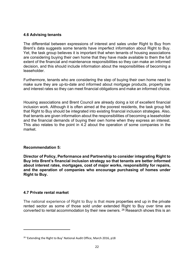# **4.6 Advising tenants**

The differential between expressions of interest and sales under Right to Buy from Brent's data suggests some tenants have imperfect information about Right to Buy. Yet, the task group believes it is important that when tenants of housing associations are considering buying their own home that they have made available to them the full extent of the financial and maintenance responsibilities so they can make an informed decision, and this should include information about the responsibilities of becoming a leaseholder.

Furthermore, tenants who are considering the step of buying their own home need to make sure they are up-to-date and informed about mortgage products, property law and interest rates so they can meet financial obligations and make an informed choice.

Housing associations and Brent Council are already doing a lot of excellent financial inclusion work. Although it is often aimed at the poorest residents, the task group felt that Right to Buy should be integrated into existing financial inclusion strategies. Also, that tenants are given information about the responsibilities of becoming a leaseholder and the financial demands of buying their own home when they express an interest. This also relates to the point in 4.2 about the operation of some companies in the market.

#### **Recommendation 5:**

**Director of Policy, Performance and Partnership to consider integrating Right to Buy into Brent's financial inclusion strategy so that tenants are better informed about interest rates, mortgages, cost of major works, responsibility for repairs, and the operation of companies who encourage purchasing of homes under Right to Buy.**

# **4.7 Private rental market**

The national experience of Right to Buy is that more properties end up in the private rented sector as some of those sold under extended Right to Buy over time are converted to rental accommodation by their new owners. <sup>28</sup> Research shows this is an

<sup>&</sup>lt;sup>28</sup> 'Extending the Right to Buy' National Audit Office, March 2016, p18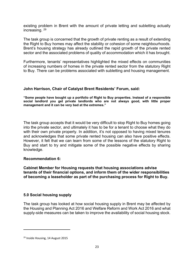existing problem in Brent with the amount of private letting and subletting actually increasing. <sup>29</sup>

The task group is concerned that the growth of private renting as a result of extending the Right to Buy homes may affect the stability or cohesion of some neighbourhoods. Brent's housing strategy has already outlined the rapid growth of the private rented sector and the associated problems of quality of accommodation which it has brought.

Furthermore, tenants' representatives highlighted the mixed effects on communities of increasing numbers of homes in the private rented sector from the statutory Right to Buy. There can be problems associated with subletting and housing management.

# **John Harrison, Chair of Catalyst Brent Residents' Forum, said:**

**"Some people have bought up a portfolio of Right to Buy properties. Instead of a responsible social landlord you get private landlords who are not always good, with little proper management and it can be very bad at the extremes."**

The task group accepts that it would be very difficult to stop Right to Buy homes going into the private sector, and ultimately it has to be for a tenant to choose what they do with their own private property. In addition, it's not opposed to having mixed tenures and acknowledges that some private rented housing can also have positive effects. However, it felt that we can learn from some of the lessons of the statutory Right to Buy and start to try and mitigate some of the possible negative effects by sharing knowledge.

#### **Recommendation 6:**

**Cabinet Member for Housing requests that housing associations advise tenants of their financial options, and inform them of the wider responsibilities of becoming a leaseholder as part of the purchasing process for Right to Buy.**

# **5.0 Social housing supply**

The task group has looked at how social housing supply in Brent may be affected by the Housing and Planning Act 2016 and Welfare Reform and Work Act 2016 and what supply-side measures can be taken to improve the availability of social housing stock.

<sup>29</sup> Inside Housing, 14 August 2015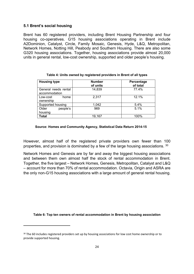# **5.1 Brent's social housing**

Brent has 60 registered providers, including Brent Housing Partnership and four housing co-operatives. G15 housing associations operating in Brent include A2Dominion, Catalyst, Circle, Family Mosaic, Genesis, Hyde, L&Q, Metropolitan, Network Homes, Notting Hill, Peabody and Southern Housing. There are also some G320 housing associations. Together, housing associations provide almost 20,000 units in general rental, low-cost ownership, supported and older people's housing.

| <b>Housing type</b>                   | <b>Number</b><br>of units | Percentage<br>of total |
|---------------------------------------|---------------------------|------------------------|
| General needs rental<br>accommodation | 14,839                    | 77.4%                  |
| Low-cost<br>home<br>ownership         | 2.317                     | 12.1%                  |
| Supported housing                     | 1,042                     | 5.4%                   |
| Older<br>people's<br>housing          | 969                       | 5.1%                   |
| Total                                 | 19,167                    | 100%                   |

#### **Source: Homes and Community Agency, Statistical Data Return 2014-15**

However, almost half of the registered private providers own fewer than 100 properties, and provision is dominated by a few of the large housing associations. <sup>30</sup>

Network Homes and Genesis are by far and away the biggest housing associations and between them own almost half the stock of rental accommodation in Brent. Together, the five largest – Network Homes, Genesis, Metropolitan, Catalyst and L&Q – account for more than 70% of rental accommodation. Octavia, Origin and ASRA are the only non-G15 housing associations with a large amount of general rental housing.

**Table 6: Top ten owners of rental accommodation in Brent by housing association**

<sup>&</sup>lt;sup>30</sup> The 60 includes registered providers set up by housing associations for low cost home ownership or to provide supported housing.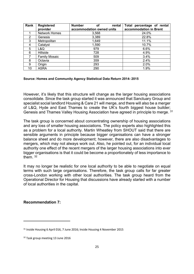| Rank | <b>Registered</b>    | <b>Number</b><br>οf<br>rental | Total percentage of rental |
|------|----------------------|-------------------------------|----------------------------|
|      | provider             | accommodation owned units     | accommodation in Brent     |
|      | <b>Network Homes</b> | 3,568                         | 24.0%                      |
| 2    | Genesis              | 3,389                         | 22.8%                      |
| 3    | Metropolitan         | 1,649                         | 11.1%                      |
| 4    | Catalyst             | 1,590                         | 10.7%                      |
| 5    | L&Q                  | 979                           | 6.6%                       |
| 6    | Hillside             | 728                           | 4.9%                       |
|      | <b>Family Mosaic</b> | 509                           | 3.4%                       |
| 8    | Octavia              | 359                           | 2.4%                       |
| 9    | Origin               | 293                           | 2.0%                       |
| 10   | ASRA                 | 290                           | 1.9%                       |

#### **Source: Homes and Community Agency Statistical Data Return 2014- 2015**

However, it's likely that this structure will change as the larger housing associations consolidate. Since the task group started it was announced that Sanctuary Group and specialist social landlord Housing & Care 21 will merge, and there will also be a merger of L&Q, Hyde and East Thames to create the UK's fourth biggest house builder; Genesis and Thames Valley Housing Association have agreed in principle to merge. <sup>31</sup>

The task group is concerned about concentrating ownership of housing associations and any loss of smaller housing associations. The policy experts also highlighted this as a problem for a local authority. Martin Wheatley from SHOUT said that there are sensible arguments in principle because bigger organisations can have a stronger balance sheet and do more development; however, there are also disadvantages to mergers, which may not always work out. Also, he pointed out, for an individual local authority one effect of the recent mergers of the larger housing associations into ever bigger organisations is that it could be become a proportionately of less importance to them. <sup>32</sup>

It may no longer be realistic for one local authority to be able to negotiate on equal terms with such large organisations. Therefore, the task group calls for far greater cross-London working with other local authorities. The task group heard from the Operational Director for Housing that discussions have already started with a number of local authorities in the capital.

#### **Recommendation 7:**

<sup>31</sup> Inside Housing 6 April 016, 7 June 2016; Inside Housing 4 November 2015

<sup>&</sup>lt;sup>32</sup> Task group meeting 13 June 2016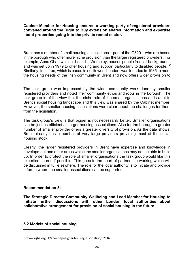**Cabinet Member for Housing ensures a working party of registered providers convened around the Right to Buy extension shares information and expertise about properties going into the private rented sector.**

Brent has a number of small housing associations – part of the G320 – who are based in the borough who offer more niche provision than the larger registered providers. For example, Apna Ghar, which is based in Wembley, houses people from all backgrounds and was set up in 1979 to offer housing and support particularly to disabled people. <sup>33</sup> Similarly, Innisfree, which is based in north-west London, was founded in 1985 to meet the housing needs of the Irish community in Brent and now offers wider provision to all.

The task group was impressed by the wider community work done by smaller registered providers and noted their community ethos and roots in the borough. The task group is of the view that the niche role of the small organisations adds a lot to Brent's social housing landscape and this view was shared by the Cabinet member. However, the smaller housing associations were clear about the challenges for them from the legislation.

The task group's view is that bigger is not necessarily better. Smaller organisations can be just as efficient as larger housing associations. Also for the borough a greater number of smaller provider offers a greater diversity of provision. As the data shows, Brent already has a number of very large providers providing most of the social housing stock.

Clearly, the larger registered providers in Brent have expertise and knowledge in development and other areas which the smaller organisations may not be able to build up. In order to protect the role of smaller organisations the task group would like this expertise shared if possible. This goes to the heart of partnership working which will be discussed in full elsewhere. The role for the local authority is to initiate and provide a forum where the smaller associations can be supported.

#### **Recommendation 8:**

**The Strategic Director Community Wellbeing and Lead Member for Housing to initiate further discussions with other London local authorities about collaborative arrangement for provision of social housing in the future.**

# **5.2 Models of social housing**

<sup>33</sup> www.agha.org.uk/about-apna-ghar-housing-association/, 2016.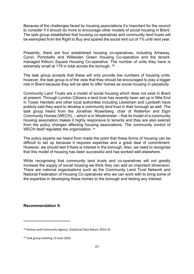Because of the challenges faced by housing associations it's important for the council to consider if it should do more to encourage other models of social housing in Brent. The task group established that housing co-operatives and community land trusts will be exempted from the Right to Buy and spared the social rent cut of 1% until next year.

Presently, there are four established housing co-operatives, including Arneway, Cyron, Portobello and Willesden Green Housing Co-operative and the tenantmanaged Kilburn Square Housing Co-operative. The number of units they have is extremely small at 179 in total across the borough. 34

The task group accepts that these will only provide low numbers of housing units; however, the task group is of the view that they should be encouraged to play a bigger role in Brent because they will be able to offer homes as social housing in perpetuity.

Community Land Trusts are a model of social housing which does not exist in Brent at present. Through London Citizens a land trust has recently been set up in Mile End in Tower Hamlets and other local authorities including Lewisham and Lambeth have publicly said they want to develop a community land trust in their borough as well. The task group heard from the Jonathan Rosenberg, chair of Walterton and Elgin Community Homes (WECH), – which is in Westminster – that its model of a community housing association makes it highly responsive to tenants and they are also exempt from the policy changes affecting housing associations. The community control of WECH itself regulates the organisation. 35

The policy experts we heard from made the point that these forms of housing can be difficult to set up because it requires expertise and a great deal of commitment. However, we should test if there is interest in the borough. Also, we need to recognise that this model of housing has been successful and has worked well elsewhere.

While recognising that community land trusts and co-operatives will not greatly increase the supply of social housing we think they can add an important dimension. There are national organisations such as the Community Land Trust Network and National Federation of Housing Co-operatives who we can work with to bring some of the expertise in developing these homes to the borough and testing any interest.

#### **Recommendation 9:**

<sup>34</sup> Homes and Community Agency, Statistical Data Return 2014-15

<sup>&</sup>lt;sup>35</sup> Task group meeting 13 June 2016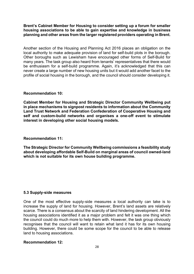**Brent's Cabinet Member for Housing to consider setting up a forum for smaller housing associations to be able to gain expertise and knowledge in business planning and other areas from the larger registered providers operating in Brent.**

Another section of the Housing and Planning Act 2016 places an obligation on the local authority to make adequate provision of land for self-build plots in the borough. Other boroughs such as Lewisham have encouraged other forms of Self-Build for many years. The task group also heard from tenants' representatives that there would be enthusiasm for a self-build programme. Again, it's acknowledged that this can never create a large number of new housing units but it would add another facet to the profile of social housing in the borough, and the council should consider developing it.

#### **Recommendation 10:**

**Cabinet Member for Housing and Strategic Director Community Wellbeing put in place mechanisms to signpost residents to information about the Community Land Trust Network and Federation Confederation of Cooperative Housing and self and custom-build networks and organises a one-off event to stimulate interest in developing other social housing models.**

#### **Recommendation 11:**

**The Strategic Director for Community Wellbeing commissions a feasibility study about developing affordable Self-Build on marginal areas of council owned-land which is not suitable for its own house building programme.**

#### **5.3 Supply-side measures**

One of the most effective supply-side measures a local authority can take is to increase the supply of land for housing. However, Brent's land assets are relatively scarce. There is a consensus about the scarcity of land hindering development. All the housing associations identified it as a major problem and felt it was one thing which the council could do much more to help them with. However, the task group obviously recognises that the council will want to retain what land it has for its own housing building. However, there could be some scope for the council to be able to release land to housing associations.

#### **Recommendation 12:**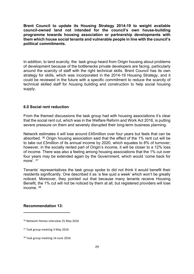**Brent Council to update its Housing Strategy 2014-19 to weight available council-owned land not intended for the council's own house-building programme towards housing association or partnership developments with them which house social tenants and vulnerable people in line with the council's political commitments.**

In addition, to land scarcity, the task group heard from Origin housing about problems of development because of the bottlenecks private developers are facing, particularly around the scarcity of staff with the right technical skills. Brent Council has its own strategy for skills, which was incorporated in the 2014-19 Housing Strategy, and it could be reviewed in the future with a specific commitment to reduce the scarcity of technical skilled staff for housing building and construction to help social housing supply.

#### **6.0 Social rent reduction**

From the themed discussions the task group had with housing associations it's clear that the social rent cut, which was in the Welfare Reform and Work Act 2016, is putting severe pressure on them and severely disrupted their long-term business planning.

Network estimates it will lose around £45million over four years but feels that can be absorbed. <sup>36</sup> Origin housing association said that the effect of the 1% rent cut will be to take out £3million of its annual income by 2020, which equates to 8% of turnover; however, in the socially rented part of Origin's income, it will be closer to a 12% loss of income. There was also a feeling among housing associations that the 1% cut over four years may be extended again by the Government, which would 'come back for more'. <sup>37</sup>

Tenants' representatives the task group spoke to did not think it would benefit their residents significantly. One described it as 'a few quid a week' which won't be greatly noticed. Moreover, they pointed out that because many tenants receive Housing Benefit, the 1% cut will not be noticed by them at all, but registered providers will lose income.  $38$ 

#### **Recommendation 13:**

<sup>&</sup>lt;sup>36</sup> Network Homes interview 25 May 2016

<sup>37</sup> Task group meeting 3 May 2016

<sup>&</sup>lt;sup>38</sup> Task group meeting 14 June 2016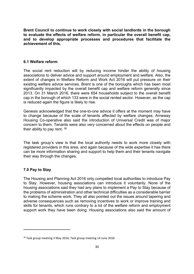**Brent Council to continue to work closely with social landlords in the borough to evaluate the effects of welfare reform, in particular the overall benefit cap, and to develop appropriate processes and procedures that facilitate the achievement of this.**

# **6.1 Welfare reform**

The social rent reduction will by reducing income hinder the ability of housing associations to deliver advice and support around employment and welfare. Also, the extent of changes in Welfare Reform and Work Act 2016 will put pressure on their existing welfare advice services. Brent is one of the boroughs which has been most significantly impacted by the overall benefit cap and welfare reform generally since 2013. On 31 March 2016, there were 654 households subject to the overall benefit cap in the borough of which 133 were in the social rented sector. However, as the cap is reduced again the figure is likely to rise.

Genesis acknowledged that the one-to-one advice it offers at the moment may have to change because of the scale of tenants affected by welfare changes; Arneway Housing Co-operative also said the introduction of Universal Credit was of major concern to them. Tenants were also very concerned about the effects on people and their ability to pay rent. <sup>39</sup>

The task group's view is that the local authority needs to work more closely with registered providers in this area, and again because of the wide expertise it has there can be more information sharing and support to help them and their tenants navigate their way through the changes.

# **7.0 Pay to Stay**

The Housing and Planning Act 2016 only compelled local authorities to introduce Pay to Stay. However, housing associations can introduce it voluntarily. None of the housing associations said they had any plans to implement a Pay to Stay because of the problems of administration and other technical difficulties as a considerable barrier to making the scheme work. They all also pointed out the issues around tapering and adverse consequences such as removing incentives to work or improve training and skills for tenants, which runs contrary to a lot of the welfare reform and employment support work they have been doing. Housing associations also said the amount of

<sup>39</sup> Task group meeting 3 May 2016; Task group meeting 14 June 2016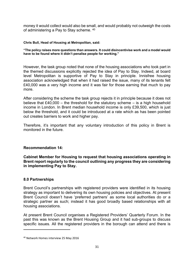money it would collect would also be small, and would probably not outweigh the costs of administering a Pay to Stay scheme. <sup>40</sup>

#### **Chris Bull, Head of Housing at Metropolitan, said:**

**"The policy raises more questions than answers. It could disincentivise work and a model would have to be found where it didn't penalise people for working."**

However, the task group noted that none of the housing associations who took part in the themed discussions explicitly rejected the idea of Pay to Stay. Indeed, at board level Metropolitan is supportive of Pay to Stay in principle. Innisfree housing association acknowledged that when it had raised the issue, many of its tenants felt £40,000 was a very high income and it was fair for those earning that much to pay more.

After considering the scheme the task group rejects it in principle because it does not believe that £40,000 – the threshold for the statutory scheme – is a high household income in London. In Brent median household income is only £39,500, which is just below the threshold, and it could be introduced at a rate which as has been pointed out creates barriers to work and higher pay.

Therefore, it's important that any voluntary introduction of this policy in Brent is monitored in the future.

#### **Recommendation 14:**

**Cabinet Member for Housing to request that housing associations operating in Brent report regularly to the council outlining any progress they are considering in implementing Pay to Stay.**

#### **8.0 Partnerships**

Brent Council's partnerships with registered providers were identified in its housing strategy as important to delivering its own housing policies and objectives. At present Brent Council doesn't have 'preferred partners' as some local authorities do or a strategic partner as such; instead it has good broadly based relationships with all housing associations.

At present Brent Council organises a Registered Providers' Quarterly Forum. In the past this was known as the Brent Housing Group and it had sub-groups to discuss specific issues. All the registered providers in the borough can attend and there is

<sup>40</sup> Network Homes interview 25 May 2016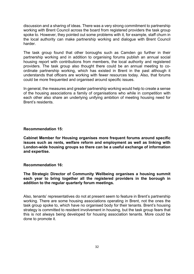discussion and a sharing of ideas. There was a very strong commitment to partnership working with Brent Council across the board from registered providers the task group spoke to. However, they pointed out some problems with it, for example, staff churn in the local authority can make partnership working and dialogue with Brent Council harder.

The task group found that other boroughs such as Camden go further in their partnership working and in addition to organising forums publish an annual social housing report with contributions from members, the local authority and registered providers. The task group also thought there could be an annual meeting to coordinate partnership working, which has existed in Brent in the past although it understands that officers are working with fewer resources today. Also, that forums could be more frequented and organised around specific issues.

In general, the measures and greater partnership working would help to create a sense of the housing associations a family of organisations who while in competition with each other also share an underlying unifying ambition of meeting housing need for Brent's residents.

#### **Recommendation 15:**

**Cabinet Member for Housing organises more frequent forums around specific issues such as rents, welfare reform and employment as well as linking with London-wide housing groups so there can be a useful exchange of information and expertise.** 

#### **Recommendation 16:**

**The Strategic Director of Community Wellbeing organises a housing summit each year to bring together all the registered providers in the borough in addition to the regular quarterly forum meetings.**

Also, tenants' representatives do not at present seem to feature in Brent's partnership working. There are some housing associations operating in Brent, not the ones the task group spoke to, which have no organised body for their tenants. Brent's housing strategy is committed to resident involvement in housing, but the task group fears that this is not always being developed for housing association tenants. More could be done to promote it.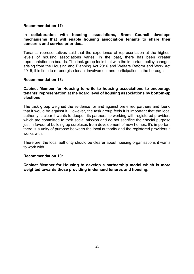# **Recommendation 17:**

# **In collaboration with housing associations, Brent Council develops mechanisms that will enable housing association tenants to share their concerns and service priorities..**

Tenants' representatives said that the experience of representation at the highest levels of housing associations varies. In the past, there has been greater representation on boards. The task group feels that with the important policy changes arising from the Housing and Planning Act 2016 and Welfare Reform and Work Act 2015, it is time to re-energise tenant involvement and participation in the borough.

#### **Recommendation 18:**

# **Cabinet Member for Housing to write to housing associations to encourage tenants' representation at the board level of housing associations by bottom-up elections**.

The task group weighed the evidence for and against preferred partners and found that it would be against it. However, the task group feels it is important that the local authority is clear it wants to deepen its partnership working with registered providers which are committed to their social mission and do not sacrifice their social purpose just in favour of building up surpluses from development of new homes. It's important there is a unity of purpose between the local authority and the registered providers it works with

Therefore, the local authority should be clearer about housing organisations it wants to work with.

#### **Recommendation 19:**

**Cabinet Member for Housing to develop a partnership model which is more weighted towards those providing in-demand tenures and housing.**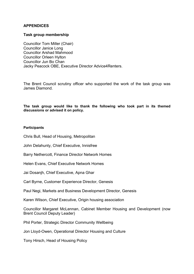# **APPENDICES**

# **Task group membership**

Councillor Tom Miller (Chair) Councillor Janice Long Councillor Arshad Mahmood Councillor Orleen Hylton Councillor Jun Bo Chan Jacky Peacock OBE, Executive Director Advice4Renters.

The Brent Council scrutiny officer who supported the work of the task group was James Diamond.

**The task group would like to thank the following who took part in its themed discussions or advised it on policy.**

#### **Participants**

Chris Bull, Head of Housing, Metropolitan

John Delahunty, Chief Executive, Innisfree

Barry Nethercott, Finance Director Network Homes

Helen Evans, Chief Executive Network Homes

Jai Dosanjh, Chief Executive, Apna Ghar

Carl Byrne, Customer Experience Director, Genesis

Paul Negi, Markets and Business Development Director, Genesis

Karen Wilson, Chief Executive, Origin housing association

Councillor Margaret McLennan, Cabinet Member Housing and Development (now Brent Council Deputy Leader)

Phil Porter, Strategic Director Community Wellbeing

Jon Lloyd-Owen, Operational Director Housing and Culture

Tony Hirsch, Head of Housing Policy